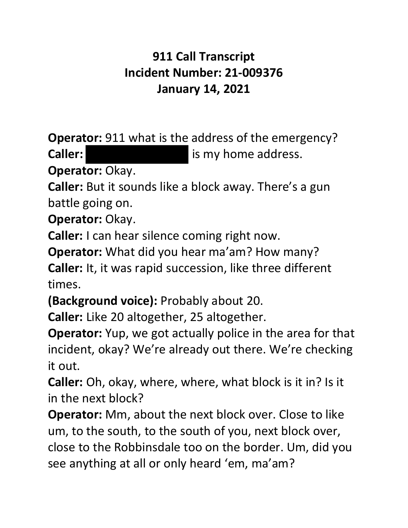## **911 Call Transcript Incident Number: 21-009376 January 14, 2021**

**Operator:** 911 what is the address of the emergency?

**Caller: is my home address.** 

**Operator:** Okay.

**Caller:** But it sounds like a block away. There's a gun battle going on.

**Operator:** Okay.

**Caller:** I can hear silence coming right now.

**Operator:** What did you hear ma'am? How many?

**Caller:** It, it was rapid succession, like three different times.

**(Background voice):** Probably about 20.

**Caller:** Like 20 altogether, 25 altogether.

**Operator:** Yup, we got actually police in the area for that incident, okay? We're already out there. We're checking it out.

**Caller:** Oh, okay, where, where, what block is it in? Is it in the next block?

**Operator:** Mm, about the next block over. Close to like um, to the south, to the south of you, next block over, close to the Robbinsdale too on the border. Um, did you see anything at all or only heard 'em, ma'am?